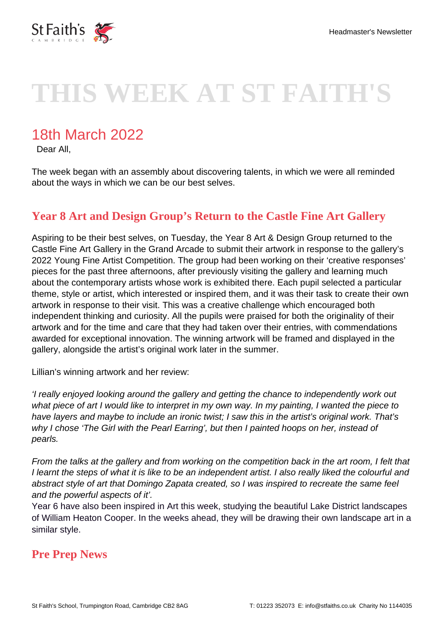

# **THIS WEEK AT ST FAITH'S**

## 18th March 2022

Dear All,

The week began with an assembly about discovering talents, in which we were all reminded about the ways in which we can be our best selves.

#### **Year 8 Art and Design Group's Return to the Castle Fine Art Gallery**

Aspiring to be their best selves, on Tuesday, the Year 8 Art & Design Group returned to the Castle Fine Art Gallery in the Grand Arcade to submit their artwork in response to the gallery's 2022 Young Fine Artist Competition. The group had been working on their 'creative responses' pieces for the past three afternoons, after previously visiting the gallery and learning much about the contemporary artists whose work is exhibited there. Each pupil selected a particular theme, style or artist, which interested or inspired them, and it was their task to create their own artwork in response to their visit. This was a creative challenge which encouraged both independent thinking and curiosity. All the pupils were praised for both the originality of their artwork and for the time and care that they had taken over their entries, with commendations awarded for exceptional innovation. The winning artwork will be framed and displayed in the gallery, alongside the artist's original work later in the summer.

Lillian's winning artwork and her review:

'I really enjoyed looking around the gallery and getting the chance to independently work out what piece of art I would like to interpret in my own way. In my painting, I wanted the piece to have layers and maybe to include an ironic twist; I saw this in the artist's original work. That's why I chose 'The Girl with the Pearl Earring', but then I painted hoops on her, instead of pearls.

From the talks at the gallery and from working on the competition back in the art room, I felt that I learnt the steps of what it is like to be an independent artist. I also really liked the colourful and abstract style of art that Domingo Zapata created, so I was inspired to recreate the same feel and the powerful aspects of it'.

Year 6 have also been inspired in Art this week, studying the beautiful Lake District landscapes of William Heaton Cooper. In the weeks ahead, they will be drawing their own landscape art in a similar style.

#### **Pre Prep News**